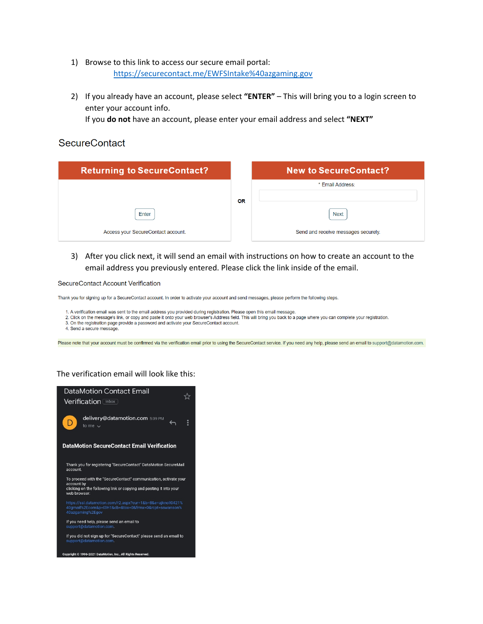- 1) Browse to this link to access our secure email portal: <https://securecontact.me/EWFSIntake%40azgaming.gov>
- 2) If you already have an account, please select **"ENTER"** This will bring you to a login screen to enter your account info.

If you **do not** have an account, please enter your email address and select **"NEXT"**

### **SecureContact**

| <b>Returning to SecureContact?</b> |           | <b>New to SecureContact?</b>        |  |  |
|------------------------------------|-----------|-------------------------------------|--|--|
|                                    |           | * Email Address:                    |  |  |
|                                    | <b>OR</b> |                                     |  |  |
| Enter                              |           | <b>Next</b>                         |  |  |
| Access your SecureContact account. |           | Send and receive messages securely. |  |  |

3) After you click next, it will send an email with instructions on how to create an account to the email address you previously entered. Please click the link inside of the email.

SecureContact Account Verification

Thank you for signing up for a SecureContact account. In order to activate your account and send messages, please perform the following steps.

1. A verification email was sent to the email address you provided during registration. Please open this email message.

2. Click on the message's link, or copy and paste it onto your web browser's Address field. This will bring you back to a page where you can complete your registration.

3. On the registration page provide a password and activate your SecureContact account.

4. Send a secure message.

Please note that your account must be confirmed via the verification email prior to using the SecureContact service. If you need any help, please send an email to support@datamotion.com.

#### The verification email will look like this:

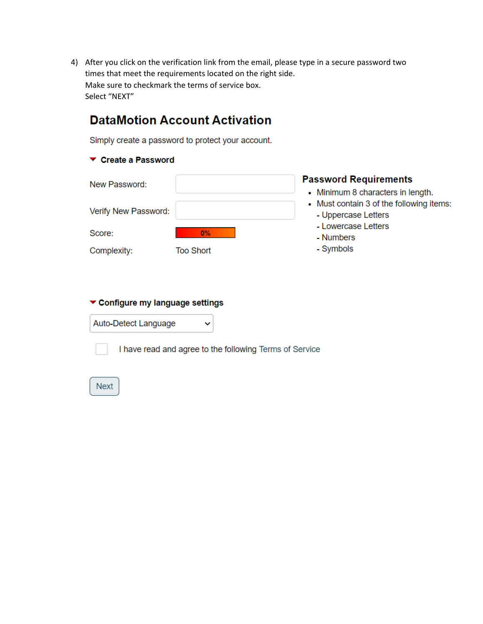4) After you click on the verification link from the email, please type in a secure password two times that meet the requirements located on the right side. Make sure to checkmark the terms of service box. Select "NEXT"

# **DataMotion Account Activation**

Simply create a password to protect your account.

### ▼ Create a Password

| New Password:        |           | <b>Password Requirements</b>                                                  |  |  |
|----------------------|-----------|-------------------------------------------------------------------------------|--|--|
|                      |           | • Minimum 8 characters in length.<br>• Must contain 3 of the following items: |  |  |
| Verify New Password: |           | - Uppercase Letters                                                           |  |  |
| Score:               | $0\%$     | - Lowercase Letters<br>- Numbers                                              |  |  |
| Complexity:          | Too Short | - Symbols                                                                     |  |  |

## Configure my language settings

Auto-Detect Language

I have read and agree to the following Terms of Service

 $\checkmark$ 

**Next**